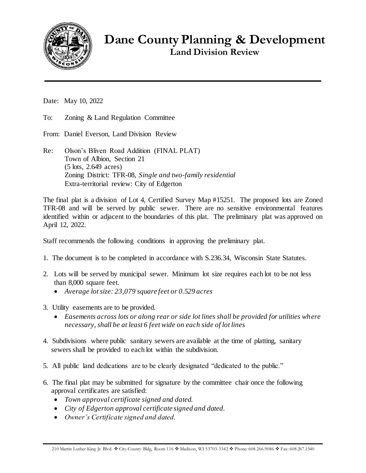

**Dane County Planning & Development Land Division Review**

Date: May 10, 2022

To: Zoning & Land Regulation Committee

From: Daniel Everson, Land Division Review

Re: Olson's Bliven Road Addition (FINAL PLAT) Town of Albion, Section 21 (5 lots, 2.649 acres) Zoning District: TFR-08, *Single and two-family residential* Extra-territorial review: City of Edgerton

The final plat is a division of Lot 4, Certified Survey Map #15251. The proposed lots are Zoned TFR-08 and will be served by public sewer. There are no sensitive environmental features identified within or adjacent to the boundaries of this plat. The preliminary plat was approved on April 12, 2022.

Staff recommends the following conditions in approving the preliminary plat.

- 1. The document is to be completed in accordance with S.236.34, Wisconsin State Statutes.
- 2. Lots will be served by municipal sewer. Minimum lot size requires each lot to be not less than 8,000 square feet.
	- *Average lot size: 23,079 square feet or 0.529 acres*
- 3. Utility easements are to be provided.
	- *Easements across lots or along rear or side lot lines shall be provided for utilities where necessary, shall be at least 6 feet wide on each side of lot lines*
- 4. Subdivisions where public sanitary sewers are available at the time of platting, sanitary sewers shall be provided to each lot within the subdivision.
- 5. All public land dedications are to be clearly designated "dedicated to the public."
- 6. The final plat may be submitted for signature by the committee chair once the following approval certificates are satisfied:
	- *Town approval certificate signed and dated.*
	- *City of Edgerton approval certificate signed and dated.*
	- *Owner's Certificate signed and dated.*